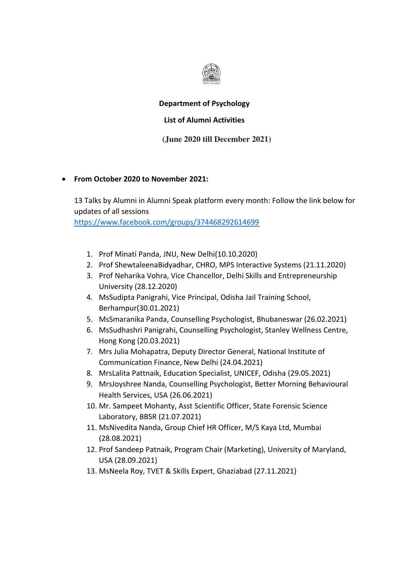

## **Department of Psychology**

## **List of Alumni Activities**

## **(June 2020 till December 2021)**

## **From October 2020 to November 2021:**

13 Talks by Alumni in Alumni Speak platform every month: Follow the link below for updates of all sessions

<https://www.facebook.com/groups/374468292614699>

- 1. Prof Minati Panda, JNU, New Delhi(10.10.2020)
- 2. Prof ShewtaleenaBidyadhar, CHRO, MPS Interactive Systems (21.11.2020)
- 3. Prof Neharika Vohra, Vice Chancellor, Delhi Skills and Entrepreneurship University (28.12.2020)
- 4. MsSudipta Panigrahi, Vice Principal, Odisha Jail Training School, Berhampur(30.01.2021)
- 5. MsSmaranika Panda, Counselling Psychologist, Bhubaneswar (26.02.2021)
- 6. MsSudhashri Panigrahi, Counselling Psychologist, Stanley Wellness Centre, Hong Kong (20.03.2021)
- 7. Mrs Julia Mohapatra, Deputy Director General, National Institute of Communication Finance, New Delhi (24.04.2021)
- 8. MrsLalita Pattnaik, Education Specialist, UNICEF, Odisha (29.05.2021)
- 9. MrsJoyshree Nanda, Counselling Psychologist, Better Morning Behavioural Health Services, USA (26.06.2021)
- 10. Mr. Sampeet Mohanty, Asst Scientific Officer, State Forensic Science Laboratory, BBSR (21.07.2021)
- 11. MsNivedita Nanda, Group Chief HR Officer, M/S Kaya Ltd, Mumbai (28.08.2021)
- 12. Prof Sandeep Patnaik, Program Chair (Marketing), University of Maryland, USA (28.09.2021)
- 13. MsNeela Roy, TVET & Skills Expert, Ghaziabad (27.11.2021)